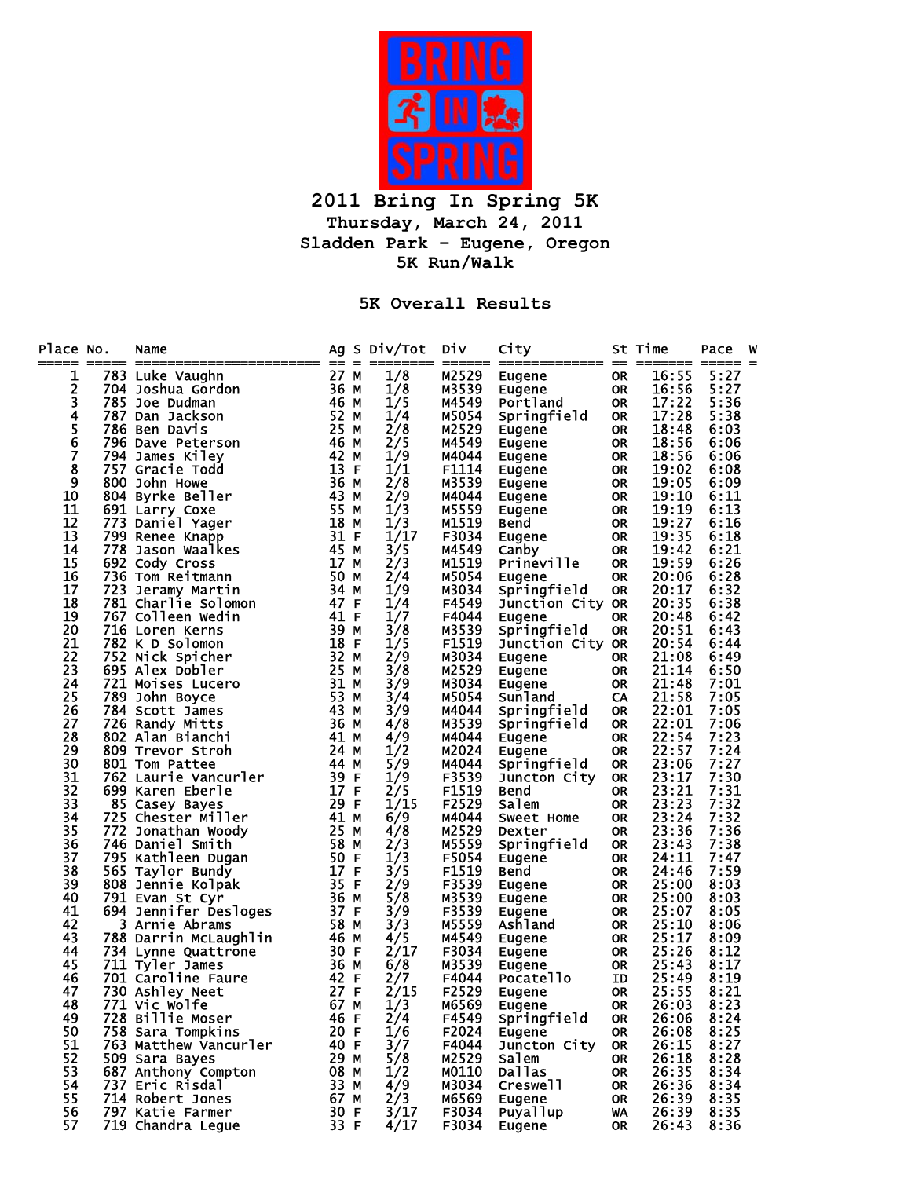

**2011 Bring In Spring 5K Thursday, March 24, 2011 Sladden Park – Eugene, Oregon 5K Run/Walk** 

**5K Overall Results** 

| Place No.        | ==== | Name                  |                 |             | Ag S Div/Tot                    | Div<br>===== | City             |           | St Time<br>==== | Pace<br>=== =<br>--- | W |
|------------------|------|-----------------------|-----------------|-------------|---------------------------------|--------------|------------------|-----------|-----------------|----------------------|---|
| 1                |      | 783 Luke Vaughn       | 27 M            |             | 1/8                             | M2529        | Eugene           | <b>OR</b> | 16:55           | 5:27                 |   |
|                  |      | 704 Joshua Gordon     | 36 M            |             | 1/8                             | M3539        | Eugene           | 0R        | 16:56           | 5:27                 |   |
| $\frac{2}{3}$    |      | 785 Joe Dudman        | 46 M            |             | 1/5                             | M4549        | Portland         | 0R        | 17:22           | 5:36                 |   |
|                  |      | 787 Dan Jackson       | 52              | М           | 1/4                             | M5054        | Springfield      | <b>OR</b> | 17:28           | 5:38                 |   |
| 4<br>5<br>6<br>7 |      | 786 Ben Davis         | 25              | М           | 2/8                             | M2529        | Eugene           | <b>OR</b> | 18:48           | 6:03                 |   |
|                  |      | 796 Dave Peterson     | 46 M            |             | 2/5                             | M4549        | Eugene           | 0R        | 18:56           | 6:06                 |   |
|                  |      | 794 James Kiley       | 42 M            |             | 1/9                             | M4044        | Eugene           | 0R        | 18:56           | 6:06                 |   |
| 8                |      | 757 Gracie Todd       | 13              | F           | 1/1                             | F1114        | Eugene           | 0R        | 19:02           | 6:08                 |   |
| 9                |      | 800 John Howe         | 36 M            |             | 2/8                             | M3539        | Eugene           | 0R        | 19:05           | 6:09                 |   |
| 10               |      | 804 Byrke Beller      | 43              | М           |                                 | M4044        | Eugene           | 0R        | 19:10           | 6:11                 |   |
| 11               |      | 691 Larry Coxe        | 55 M            |             | $\frac{2}{9}$<br>$\frac{1}{3}$  | M5559        | Eugene           | 0R        | 19:19           | 6:13                 |   |
| 12               |      | 773 Daniel Yager      | 18              | М           | 1/3                             | M1519        | Bend             | <b>OR</b> | 19:27           | 6:16                 |   |
| 13               |      | 799 Renee Knapp       | 31 F            |             | 1/17                            | F3034        | Eugene           | <b>OR</b> | 19:35           | 6:18                 |   |
| 14               |      | 778 Jason Waalkes     | 45              | М           | 3/5                             | M4549        | Canby            | 0R        | 19:42           | 6:21                 |   |
| 15               |      | 692 Cody Cross        | 17 <sub>2</sub> | М           | 2/3                             | M1519        | Prineville       | <b>OR</b> | 19:59           | 6:26                 |   |
| 16               |      | 736 Tom Reitmann      | 50              | М           | 2/4                             | M5054        | <b>Eugene</b>    | <b>OR</b> | 20:06           | 6:28                 |   |
| 17               | 723  | Jeramy Martin         | 34              | М           | 1/9                             | M3034        | Springfield      | <b>OR</b> | 20:17           | 6:32                 |   |
| 18               |      | 781 Charlie Solomon   | 47              | F           | 1/4                             | F4549        | Junction City OR |           | 20:35           | 6:38                 |   |
| 19               |      | 767 Colleen Wedin     | 41 F            |             | 1/7                             | F4044        | <b>Eugene</b>    | <b>OR</b> | 20:48           | 6:42                 |   |
| 20               |      | 716 Loren Kerns       | 39 M            |             | 3/8                             | M3539        | Springfield      | 0R        | 20:51           | 6:43                 |   |
| 21               |      | 782 K D Solomon       | 18 F            |             | 1/5                             | F1519        | Junction City OR |           | 20:54           | 6:44                 |   |
| 22               |      | 752 Nick Spicher      | 32 <sub>2</sub> | М           | 2/9                             | M3034        | Eugene           | 0R        | 21:08           | 6:49                 |   |
| 23               |      | 695 Alex Dobler       | 25 M            |             | 3/8                             | M2529        | Eugene           | <b>OR</b> | 21:14           | 6:50                 |   |
| 24               |      | 721 Moises Lucero     | 31 M            |             | 3/9                             | M3034        | Eugene           | <b>OR</b> | 21:48           | 7:01                 |   |
| 25               | 789  | John Boyce            | 53              | М           | 3/4                             | M5054        | Sunland          | CA        | 21:58           | 7:05                 |   |
| 26               |      | 784 Scott James       | 43 M            |             | 3/9                             | M4044        | Springfield      | 0R        | 22:01           | 7:05                 |   |
| 27               |      | 726 Randy Mitts       | 36 M            |             | 4/8                             | M3539        | Springfield      | <b>OR</b> | 22:01           | 7:06                 |   |
| 28               |      | 802 Alan Bianchi      | 41 M            |             | $\frac{4/9}{1/2}$               | M4044        | Eugene           | <b>OR</b> | 22:54           | 7:23                 |   |
| 29               |      | 809 Trevor Stroh      | 24 M            |             |                                 | M2024        | <b>Eugene</b>    | <b>OR</b> | 22:57           | 7:24                 |   |
| 30               |      | 801 Tom Pattee        | 44 M            |             | 5/9                             | M4044        | Springfield      | 0R        | 23:06           | 7:27                 |   |
| 31               |      | 762 Laurie Vancurler  | 39 F            |             | 1/9                             | F3539        | Juncton City     | <b>OR</b> | 23:17           | 7:30                 |   |
| 32               |      | 699 Karen Eberle      | 17 F            |             |                                 | F1519        | Bend             | <b>OR</b> | 23:21           | 7:31                 |   |
| 33               |      | 85 Casey Bayes        | 29 F            |             | $\frac{2}{5}$<br>$\frac{1}{15}$ | F2529        | Salem            | 0R        | 23:23           | 7:32                 |   |
| 34               |      | 725 Chester Miller    | 41 M            |             | 6/9                             | M4044        | Sweet Home       | <b>OR</b> | 23:24           | 7:32                 |   |
| 35               |      | 772 Jonathan Woody    | 25 M            |             | 4/8                             | M2529        | Dexter           | <b>OR</b> | 23:36           | 7:36                 |   |
| 36               |      | 746 Daniel Smith      | 58 M            |             | 2/3                             | M5559        | Springfield      | <b>OR</b> | 23:43           | 7:38                 |   |
| 37               |      | 795 Kathleen Dugan    | 50 F            |             | 1/3                             | F5054        | Eugene           | <b>OR</b> | 24:11           | 7:47                 |   |
| 38               |      | 565 Taylor Bundy      | 17              | F           | 3/5                             | F1519        | Bend             | OR.       | 24:46           | 7:59                 |   |
| 39               |      | 808 Jennie Kolpak     | 35 F            |             | 2/9                             | F3539        | Eugene           | OR.       | 25:00           | 8:03                 |   |
| 40               |      | 791 Evan St Cyr       | 36 M            |             | 5/8                             | M3539        | Eugene           | <b>OR</b> | 25:00           | 8:03                 |   |
| 41               |      | 694 Jennifer Desloges | 37              | F           | 3/9                             | F3539        | Eugene           | OR.       | 25:07           | 8:05                 |   |
| 42               |      | 3 Arnie Abrams        | 58              | М           | 3/3                             | M5559        | Ashland          | OR.       | 25:10           | 8:06                 |   |
| 43               |      | 788 Darrin McLaughlin | 46 M            |             | 4/5                             | M4549        | Eugene           | OR.       | 25:17           | 8:09                 |   |
| 44               |      | 734 Lynne Quattrone   | 30 F            |             | 2/17                            | F3034        | <b>Eugene</b>    | OR.       | 25:26           | 8:12                 |   |
| 45               |      | 711 Tyler James       | 36 M            |             | 6/8                             | M3539        | Eugene           | OR.       | 25:43           | 8:17                 |   |
| 46               |      | 701 Caroline Faure    | 42 F            |             | 2/7                             | F4044        | <b>Pocatello</b> | ID        | 25:49           | 8:19                 |   |
| 47               |      | 730 Ashley Neet       | 27              | $\mathsf F$ | 2/15                            | F2529        | Eugene           | <b>OR</b> | 25:55           | 8:21                 |   |
| 48               |      | 771 Vic Wolfe         | 67              | M           | 1/3                             | M6569        | <b>Eugene</b>    | <b>OR</b> | 26:03           | 8:23                 |   |
| 49               |      | 728 Billie Moser      | 46 F            |             | 2/4                             | F4549        | Springfield      | 0R        | 26:06           | 8:24                 |   |
| 50               |      | 758 Sara Tompkins     | 20 F            |             | 1/6                             | F2024        | Eugene           | <b>OR</b> | 26:08           | 8:25                 |   |
| 51               |      | 763 Matthew Vancurler | 40 F            |             | 3/7                             | F4044        | Juncton City     | <b>OR</b> | 26:15           | 8:27                 |   |
| 52               |      | 509 Sara Bayes        | 29 M            |             | 5/8                             | M2529        | Salem            | <b>OR</b> | 26:18           | 8:28                 |   |
| 53               |      | 687 Anthony Compton   | 08 M            |             | 1/2                             | M0110        | <b>Dallas</b>    | <b>OR</b> | 26:35           | 8:34                 |   |
| 54               |      | 737 Eric Risdal       | 33 M            |             | 4/9                             | M3034        | Creswell         | 0R        | 26:36           | 8:34                 |   |
| 55               |      | 714 Robert Jones      | 67 M            |             | 2/3                             | M6569        | Eugene           | 0R        | 26:39           | 8:35                 |   |
| 56               |      | 797 Katie Farmer      | 30 F            |             | 3/17                            | F3034        | Puyallup         | WA        | 26:39           | 8:35                 |   |
| 57               |      | 719 Chandra Legue     | 33 F            |             | 4/17                            | F3034        | Eugene           | 0R        | 26:43           | 8:36                 |   |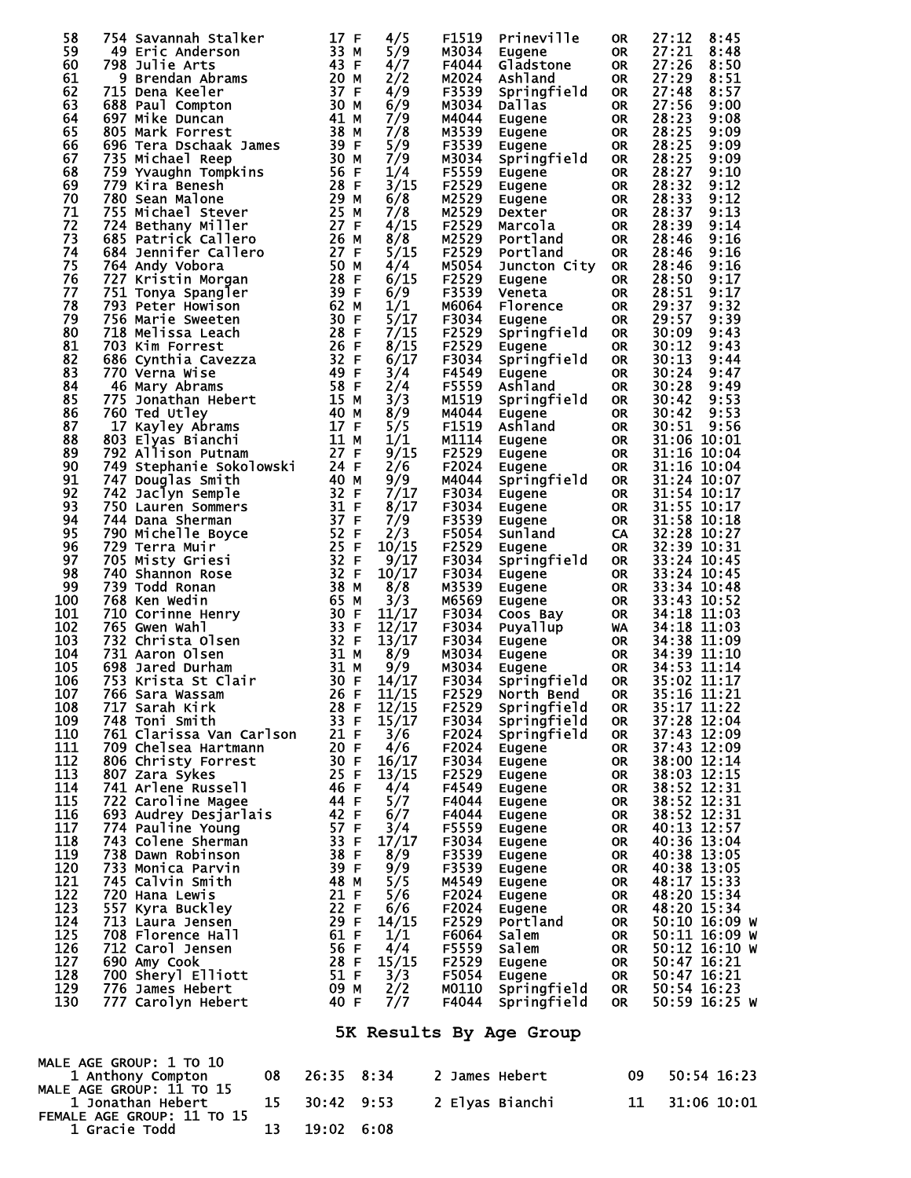| 58         | 754 Savannah Stalker                          |    | 17 F                 | 4/5            | F1519          | Prineville                | <b>OR</b>              | 27:12                                   | 8:45         |
|------------|-----------------------------------------------|----|----------------------|----------------|----------------|---------------------------|------------------------|-----------------------------------------|--------------|
| 59<br>60   | 49 Eric Anderson<br>798 Julie Arts            |    | 33 M<br>43 F         | 5/9<br>4/7     | M3034<br>F4044 | Eugene<br>Gladstone       | <b>OR</b><br><b>OR</b> | 27:21<br>27:26                          | 8:48<br>8:50 |
| 61         | 9<br>Brendan Abrams                           |    | 20 M                 | 2/2            | M2024          | Ashland                   | <b>OR</b>              | 27:29                                   | 8:51         |
| 62         | 715 Dena Keeler                               |    | 37<br>F              | 4/9            | F3539          | Springfield               | <b>OR</b>              | 27:48                                   | 8:57         |
| 63         | 688 Paul Compton                              |    | 30 M                 | 6/9            | M3034          | Dallas                    | <b>OR</b>              | 27:56                                   | 9:00         |
| 64<br>65   | 697 Mike Duncan<br>805 Mark Forrest           |    | 41<br>М<br>38 M      | 7/9<br>7/8     | M4044<br>M3539 | Eugene<br>Eugene          | <b>OR</b><br><b>OR</b> | 28:23<br>28:25                          | 9:08<br>9:09 |
| 66         | 696 Tera Dschaak James                        |    | 39<br>F              | 5/9            | F3539          | Eugene                    | <b>OR</b>              | 28:25                                   | 9:09         |
| 67         | 735 Michael Reep                              |    | 30<br>M              | 7/9            | M3034          | Springfield               | <b>OR</b>              | 28:25                                   | 9:09         |
| 68         | 759 Yvaughn Tompkins                          |    | 56 F                 | 1/4            | F5559          | Eugene                    | <b>OR</b>              | 28:27                                   | 9:10         |
| 69         | 779 Kira Benesh                               |    | 28<br>F              | 3/15           | F2529          | Eugene                    | <b>OR</b>              | 28:32                                   | 9:12         |
| 70<br>71   | 780 Sean Malone<br>755 Michael Stever         |    | 29<br>М<br>25<br>M   | 6/8<br>7/8     | M2529<br>M2529 | Eugene<br>Dexter          | <b>OR</b><br><b>OR</b> | 28:33<br>28:37                          | 9:12<br>9:13 |
| 72         | 724 Bethany Miller                            |    | 27<br>F              | 4/15           | F2529          | Marcola                   | <b>OR</b>              | 28:39                                   | 9:14         |
| 73         | 685 Patrick Callero                           |    | 26<br>M              | 8/8            | M2529          | Portland                  | <b>OR</b>              | 28:46                                   | 9:16         |
| 74         | 684 Jennifer Callero                          |    | 27<br>F              | 5/15           | F2529          | Portland                  | <b>OR</b>              | 28:46                                   | 9:16         |
| 75<br>76   | 764 Andy Vobora                               |    | 50<br>М              | 4/4<br>6/15    | M5054          | Juncton City              | <b>OR</b>              | 28:46<br>28:50                          | 9:16<br>9:17 |
| 77         | 727 Kristin Morgan<br>751 Tonya Spangler      |    | 28<br>F<br>39<br>F   | 6/9            | F2529<br>F3539 | Eugene<br>Veneta          | <b>OR</b><br><b>OR</b> | 28:51                                   | 9:17         |
| 78         | 793 Peter Howison                             |    | 62                   | 1/1<br>М       | M6064          | Florence                  | <b>OR</b>              | 29:37                                   | 9:32         |
| 79         | 756 Marie Sweeten                             |    | 30<br>F              | 5/17           | F3034          | Eugene                    | <b>OR</b>              | 29:57                                   | 9:39         |
| 80         | 718 Melissa Leach                             |    | 28<br>F              | 7/15           | F2529          | Springfield               | <b>OR</b>              | 30:09                                   | 9:43         |
| 81         | 703 Kim Forrest                               |    | 26<br>F              | 8/15           | F2529          | Eugene                    | <b>OR</b>              | 30:12                                   | 9:43         |
| 82<br>83   | 686 Cynthia Cavezza<br>770 Verna Wise         |    | F<br>32<br>49<br>F   | 6/17<br>3/4    | F3034<br>F4549 | Springfield<br>Eugene     | <b>OR</b><br><b>OR</b> | 30:13<br>30:24                          | 9:44<br>9:47 |
| 84         | 46 Mary Abrams                                |    | 58<br>$\mathsf F$    | 2/4            | F5559          | Ashland                   | <b>OR</b>              | 30:28                                   | 9:49         |
| 85         | 775 Jonathan Hebert                           |    | 15 M                 | 3/3            | M1519          | Springfield               | <b>OR</b>              | 30:42                                   | 9:53         |
| 86         | 760 Ted Utley                                 |    | 40 M                 | 8/9            | M4044          | Eugene                    | <b>OR</b>              | 30:42                                   | 9:53         |
| 87         | 17 Kayley Abrams                              |    | 17 <sub>2</sub><br>F | 5/5            | F1519          | Ashland                   | <b>OR</b>              | 30:51                                   | 9:56         |
| 88<br>89   | 803 Elyas Bianchi<br>792 Allison Putnam       |    | 11 M<br>27<br>F      | 1/1<br>9/15    | M1114<br>F2529 | Eugene                    | <b>OR</b><br><b>OR</b> | 31:06 10:01<br>31:16 10:04              |              |
| 90         | 749 Stephanie Sokolowski                      |    | 24 F                 | 2/6            | F2024          | Eugene<br>Eugene          | <b>OR</b>              | 31:16 10:04                             |              |
| 91         | 747 Douglas Smith                             |    | 40 M                 | 9/9            | M4044          | Springfield               | <b>OR</b>              | 31:24 10:07                             |              |
| 92         | 742 Jaclyn Semple                             |    | 32 <sub>2</sub><br>F | 7/17           | F3034          | Eugene                    | <b>OR</b>              | 31:54 10:17                             |              |
| 93         | 750 Lauren Sommers                            |    | 31<br>F              | 8/17           | F3034          | Eugene                    | <b>OR</b>              | 31:55 10:17                             |              |
| 94<br>95   | 744 Dana Sherman                              |    | 37<br>F<br>52        | 7/9<br>2/3     | F3539          | Eugene                    | <b>OR</b>              | 31:58 10:18                             |              |
| 96         | 790 Michelle Boyce<br>729 Terra Muir          |    | 25<br>F              | F<br>10/15     | F5054<br>F2529 | Sunland<br>Eugene         | CA<br><b>OR</b>        | 32:28 10:27<br>32:39 10:31              |              |
| 97         | 705 Misty Griesi                              |    | 32<br>F              | 9/17           | F3034          | Springfield               | <b>OR</b>              | 33:24 10:45                             |              |
| 98         | 740 Shannon Rose                              |    | 32<br>F              | 10/17          | F3034          | Eugene                    | <b>OR</b>              | 33:24 10:45                             |              |
| 99         | 739 Todd Ronan                                |    | 38<br>М              | 8/8            | M3539          | Eugene                    | <b>OR</b>              | 33:34 10:48                             |              |
| 100        | 768 Ken Wedin                                 |    | 65<br>М              | 3/3            | M6569          | Eugene                    | <b>OR</b>              | 33:43 10:52                             |              |
| 101<br>102 | 710 Corinne Henry<br>765 Gwen Wahl            |    | 30<br>F<br>33<br>F   | 11/17<br>12/17 | F3034<br>F3034 | Coos Bay<br>Puyallup      | <b>OR</b><br>WA        | 34:18 11:03<br>34:18 11:03              |              |
| 103        | 732 Christa Olsen                             |    | 32 <sub>2</sub><br>F | 13/17          | F3034          | Eugene                    | <b>OR</b>              | 34:38 11:09                             |              |
| 104        | 731 Aaron Olsen                               |    | 31 M                 | 8/9            | M3034          | Eugene                    | <b>OR</b>              | 34:39 11:10                             |              |
| 105        | 698 Jared Durham                              |    | 31 M                 | 9/9            | M3034          | Eugene                    | <b>OR</b>              | 34:53 11:14                             |              |
| 106        | 753 Krista St Clair                           |    | 30<br>F              | 14/17          | F3034          | Springfield               | <b>OR</b>              | 35:02 11:17                             |              |
| 107<br>108 | 766 Sara Wassam<br>717 Sarah Kirk             |    | 26 F<br>28 F         | 11/15<br>12/15 | F2529<br>F2529 | North Bend<br>Springfield | <b>OR</b><br><b>OR</b> | 35:16 11:21<br>35:17 11:22              |              |
| 109        | 748 Toni Smith                                |    | 33 F                 | 15/17          | F3034          | Springfield               | <b>OR</b>              | 37:28 12:04                             |              |
| 110        | 761 Clarissa Van Carlson                      |    | 21 F                 | 3/6            | F2024          | Springfield               | 0R                     | 37:43 12:09                             |              |
| 111        | 709 Chelsea Hartmann                          |    | 20 F                 | 4/6            | F2024          | Eugene                    | <b>OR</b>              | 37:43 12:09                             |              |
| 112        | 806 Christy Forrest                           |    | 30 F                 | 16/17          | F3034          | Eugene                    | <b>OR</b>              | 38:00 12:14                             |              |
| 113<br>114 | 807 Zara Sykes<br>741 Arlene Russell          |    | 25 F<br>46 F         | 13/15<br>4/4   | F2529<br>F4549 | Eugene                    | <b>OR</b>              | 38:03 12:15<br>$38:52 \overline{12}:31$ |              |
| 115        | 722 Caroline Magee                            |    | 44 F                 | 5/7            | F4044          | Eugene<br>Eugene          | 0R<br><b>OR</b>        |                                         |              |
| 116        | 693 Audrey Desjarlais                         |    | 42 F                 | 6/7            | F4044          | Eugene                    | 0R                     | 38:52 12:31<br>38:52 12:31              |              |
| 117        | 774 Pauline Young                             |    | 57 F                 | 3/4            | F5559          | Eugene                    | <b>OR</b>              | 40:13 12:57                             |              |
| 118        | 743 Colene Sherman                            |    | 33 F                 | 17/17          | F3034          | Eugene                    | 0R                     | 40:36 13:04                             |              |
| 119<br>120 | 738 Dawn Robinson<br>733 Monica Parvin        |    | 38 F<br>39 F         | 8/9<br>9/9     | F3539<br>F3539 | Eugene                    | <b>OR</b><br>0R        | 40:38 13:05<br>40:38 13:05              |              |
| 121        | 745 Calvin Smith                              |    | 48 M                 | 5/5            | M4549          | Eugene<br>Eugene          | 0R                     | 48:17 15:33                             |              |
| 122        | 720 Hana Lewis                                |    | 21 F                 | 5/6            | F2024          | Eugene                    | 0R                     | 48:20 15:34                             |              |
| 123        | 557 Kyra Buckley                              |    | 22 F                 | 6/6            | F2024          | Eugene                    | <b>OR</b>              | 48:20 15:34                             |              |
| 124        | 713 Laura Jensen<br>708 Florence Hall         |    | 29 F                 | 14/15          | F2529          | Portland                  | 0R                     | 50:10 16:09 W                           |              |
| 125<br>126 |                                               |    | 61 F<br>56 F         | 1/1<br>4/4     | F6064<br>F5559 | Salem<br>Salem            | <b>OR</b>              | 50:11 16:09 W<br>50:12 16:10 W          |              |
| 127        |                                               |    |                      |                |                |                           | 0R                     |                                         |              |
| 128        | 712 Carol Jensen                              |    |                      |                |                |                           |                        |                                         |              |
|            | 690 Amy Cook                                  |    | 28 F                 | 15/15          | F2529          | Eugene                    | <b>OR</b>              | 50:47 16:21                             |              |
| 129        | 700 Sheryl Elliott<br>776 James Hebert        |    | 51 F<br>09 M         | 3/3            | F5054<br>M0110 | Eugene<br>Springfield     | 0R<br><b>OR</b>        | 50:47 16:21<br>50:54 16:23              |              |
| 130        | 777 Carolyn Hebert                            |    | 40 F                 | 2/2<br>7/7     | F4044          | Springfield               | 0R                     | 50:59 16:25 W                           |              |
|            |                                               |    |                      |                |                |                           |                        |                                         |              |
|            |                                               |    |                      |                |                | 5K Results By Age Group   |                        |                                         |              |
|            |                                               |    |                      |                |                |                           |                        |                                         |              |
|            | MALE AGE GROUP: 1 TO 10                       |    |                      |                |                |                           |                        |                                         |              |
|            | 1 Anthony Compton<br>MALE AGE GROUP: 11 TO 15 | 08 | 26:35                | 8:34           |                | 2 James Hebert            | 09                     |                                         | 50:54 16:23  |
|            | 1 Jonathan Hebert                             | 15 | 30:42                | 9:53           |                | 2 Elyas Bianchi           | 11                     |                                         | 31:06 10:01  |
|            | FEMALE AGE GROUP: 11 TO 15<br>1 Gracie Todd   | 13 | 19:02                | 6:08           |                |                           |                        |                                         |              |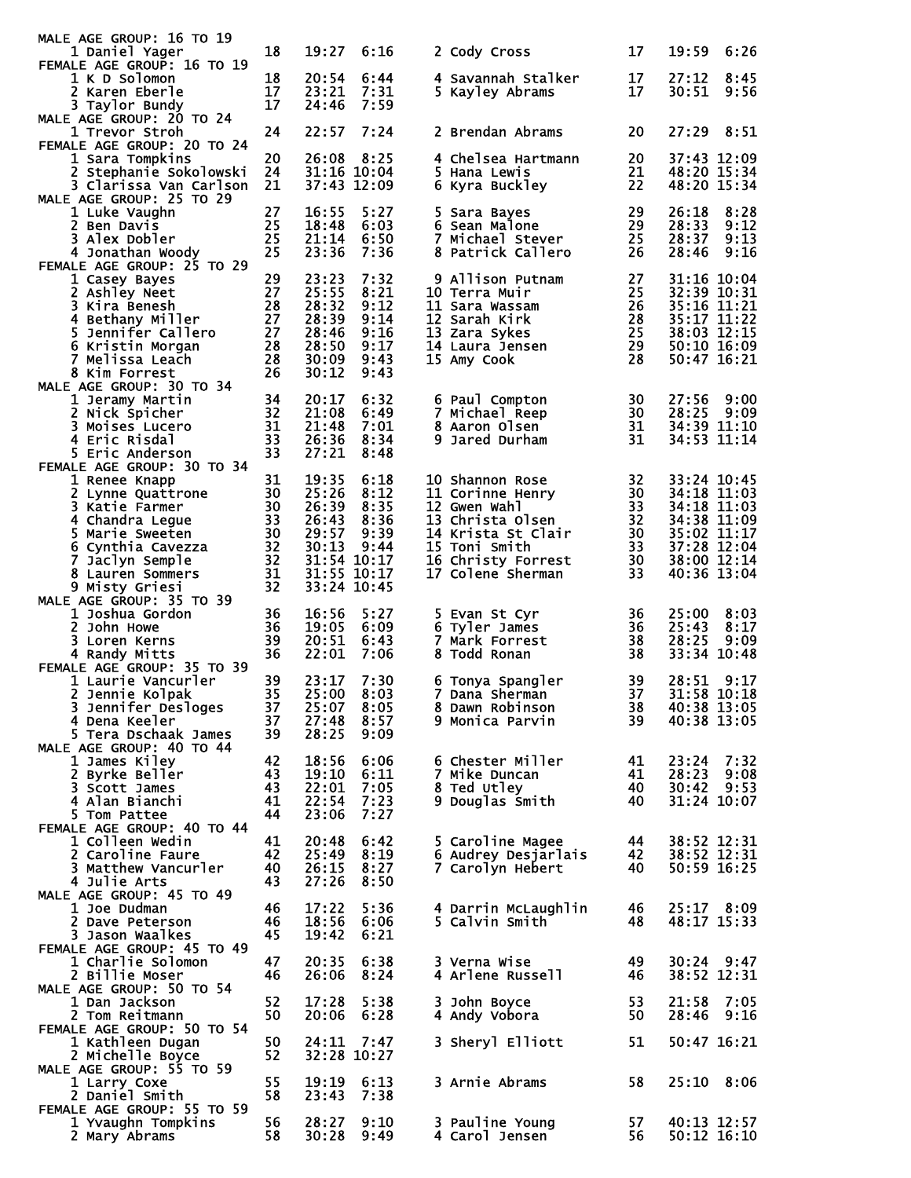| MALE AGE GROUP: 16 TO 19<br>1 Daniel Yager     | 18       | 19:27                | 6:16         |    |                                     | 17       | 19:59                      | 6:26 |
|------------------------------------------------|----------|----------------------|--------------|----|-------------------------------------|----------|----------------------------|------|
| FEMALE AGE GROUP: 16 TO 19                     |          |                      |              |    | 2 Cody Cross                        |          |                            |      |
| <b>1 K D Solomon</b>                           | 18       | 20:54                | 6:44         |    | 4 Savannah Stalker                  | 17       | 27:12                      | 8:45 |
| 2 Karen Eberle<br>3 Taylor Bundy               | 17<br>17 | 23:21<br>24:46       | 7:31<br>7:59 |    | 5 Kayley Abrams                     | 17       | 30:51                      | 9:56 |
| MALE AGE GROUP: 20 TO 24                       |          |                      |              |    |                                     |          |                            |      |
| 1 Trevor Stroh                                 | 24       | 22:57                | 7:24         |    | 2 Brendan Abrams                    | 20       | 27:29                      | 8:51 |
| FEMALE AGE GROUP: 20 TO 24<br>1 Sara Tompkins  | 20       | 26:08                | 8:25         |    | 4 Chelsea Hartmann                  | 20       | 37:43 12:09                |      |
| 2 Stephanie Sokolowski                         | 24       | 31:16 10:04          |              |    | 5 Hana Lewis                        | 21       | 48:20 15:34                |      |
| 3 Clarissa Van Carlson                         | 21       | 37:43 12:09          |              |    | 6 Kyra Buckley                      | 22       | 48:20 15:34                |      |
| MALE AGE GROUP: 25 TO 29<br>1 Luke Vaughn      | 27       | 16:55                | 5:27         |    | 5 Sara Bayes                        | 29       | 26:18                      | 8:28 |
| 2 Ben Davis                                    | 25       | 18:48                | 6:03         |    | 6 Sean Malone                       | 29       | 28:33                      | 9:12 |
| 3 Alex Dobler                                  | 25       | 21:14                | 6:50         |    | 7 Michael Stever                    | 25       | 28:37                      | 9:13 |
| 4 Jonathan Woody<br>FEMALE AGE GROUP: 25 TO 29 | 25       | 23:36                | 7:36         |    | 8 Patrick Callero                   | 26       | 28:46                      | 9:16 |
| 1 Casey Bayes                                  | 29       | 23:23                | 7:32         |    | 9 Allison Putnam                    | 27       | 31:16 10:04                |      |
| 2 Ashley Neet                                  | 27       | 25:55                | 8:21         |    | 10 Terra Muir                       | 25       | 32:39 10:31                |      |
| 3 Kira Benesh                                  | 28<br>27 | 28:32<br>28:39       | 9:12<br>9:14 |    | 11 Sara Wassam<br>12 Sarah Kirk     | 26<br>28 | 35:16 11:21<br>35:17 11:22 |      |
| 4 Bethany Miller<br>5 Jennifer Callero         | 27       | 28:46                | 9:16         |    | 13 Zara Sykes                       | 25       | 38:03 12:15                |      |
| 6 Kristin Morgan                               | 28       | 28:50                | 9:17         |    | 14 Laura Jensen                     | 29       | 50:10 16:09                |      |
| 7 Melissa Leach<br>8 Kim Forrest               | 28<br>26 | 30:09<br>30:12       | 9:43<br>9:43 |    | 15 Amy Cook                         | 28       | 50:47 16:21                |      |
| MALE AGE GROUP: 30 TO 34                       |          |                      |              |    |                                     |          |                            |      |
| 1 Jeramy Martin                                | 34       | 20:17                | 6:32         |    | 6 Paul Compton                      | 30       | 27:56                      | 9:00 |
| 2 Nick Spicher                                 | 32       | 21:08                | 6:49         |    | 7 Michael Reep                      | 30       | 28:25                      | 9:09 |
| 3 Moises Lucero<br>4 Eric Risdal               | 31<br>33 | 21:48<br>26:36       | 7:01<br>8:34 |    | 8 Aaron Olsen<br>9 Jared Durham     | 31<br>31 | 34:39 11:10<br>34:53 11:14 |      |
| 5 Eric Anderson                                | 33       | 27:21                | 8:48         |    |                                     |          |                            |      |
| FEMALE AGE GROUP: 30 TO 34                     |          |                      |              |    |                                     |          |                            |      |
| 1 Renee Knapp<br>2 Lynne Quattrone             | 31<br>30 | 19:35<br>25:26       | 6:18<br>8:12 |    | 10 Shannon Rose<br>11 Corinne Henry | 32<br>30 | 33:24 10:45<br>34:18 11:03 |      |
| 3 Katie Farmer                                 | 30       | 26:39                | 8:35         |    | 12 Gwen Wahl                        | 33       | 34:18 11:03                |      |
| 4 Chandra Legue                                | 33       | 26:43                | 8:36         |    | 13 Christa Olsen                    | 32       | 34:38 11:09                |      |
| 5 Marie Sweeten<br>6 Cynthia Cavezza           | 30<br>32 | 29:57<br>30:13       | 9:39<br>9:44 |    | 14 Krista St Clair<br>15 Toni Smith | 30<br>33 | 35:02 11:17<br>37:28 12:04 |      |
| 7 Jaclyn Semple                                | 32       | 31:54 10:17          |              |    | 16 Christy Forrest                  | 30       | 38:00 12:14                |      |
| 8 Lauren Sommers                               | 31       | 31:55 10:17          |              |    | 17 Colene Sherman                   | 33       | 40:36 13:04                |      |
| 9 Misty Griesi<br>MALE AGE GROUP: 35 TO 39     | 32       | 33:24 10:45          |              |    |                                     |          |                            |      |
| 1 Joshua Gordon                                | 36       | 16:56                | 5:27         |    | 5 Evan St Cyr                       | 36       | 25:00                      | 8:03 |
| 2 John Howe                                    | 36       | 19:05                | 6:09         |    | 6 Tyler James                       | 36       | 25:43                      | 8:17 |
| 3 Loren Kerns<br>4 Randy Mitts                 | 39<br>36 | 20:51<br>22:01       | 6:43<br>7:06 |    | 7 Mark Forrest<br>8 Todd Ronan      | 38<br>38 | 28:25<br>33:34 10:48       | 9:09 |
| FEMALE AGE GROUP: 35 TO 39                     |          |                      |              |    |                                     |          |                            |      |
| 1 Laurie Vancurler                             | 39       | 23:17                | 7:30         |    | 6 Tonya Spangler                    | 39       | 28:51                      | 9:17 |
| 2 Jennie Kolpak<br>3 Jennifer Desloges         | 35<br>37 | 25:00                | 8:03         |    | 7 Dana Sherman                      | 37<br>38 | 31:58 10:18                |      |
| 4 Dena Keeler                                  | 37       | 25:07<br>27:48       | 8:05<br>8:57 |    | 8 Dawn Robinson<br>9 Monica Parvin  | 39       | 40:38 13:05<br>40:38 13:05 |      |
| 5 Tera Dschaak James                           | 39       | 28:25                | 9:09         |    |                                     |          |                            |      |
| MALE AGE GROUP: 40 TO 44                       | 42       |                      | 6:06         |    | 6 Chester Miller                    |          |                            | 7:32 |
| 1 James Kiley<br>2 Byrke Beller                | 43       | 18:56<br>19:10       | 6:11         |    | 7 Mike Duncan                       | 41<br>41 | 23:24<br>28:23             | 9:08 |
| 3 Scott James                                  | 43       | 22:01                | 7:05         |    | 8 Ted Utley                         | 40       | 30:42                      | 9:53 |
| 4 Alan Bianchi                                 | 41<br>44 | 22:54<br>23:06       | 7:23<br>7:27 | 9. | Douglas Smith                       | 40       | 31:24 10:07                |      |
| 5 Tom Pattee<br>FEMALE AGE GROUP: 40 TO 44     |          |                      |              |    |                                     |          |                            |      |
| 1 Colleen Wedin                                | 41       | 20:48                | 6:42         |    | 5 Caroline Magee                    | 44       | 38:52 12:31                |      |
| 2 Caroline Faure                               | 42       | 25:49                | 8:19         |    | 6 Audrey Desjarlais                 | 42       | 38:52 12:31<br>50:59 16:25 |      |
| 3 Matthew Vancurler<br>4 Julie Arts            | 40<br>43 | 26:15<br>27:26       | 8:27<br>8:50 |    | 7 Carolyn Hebert                    | 40       |                            |      |
| MALE AGE GROUP: 45 TO 49                       |          |                      |              |    |                                     |          |                            |      |
| 1 Joe Dudman                                   | 46       | 17:22                | 5:36         |    | 4 Darrin McLaughlin                 | 46       | 25:17 8:09                 |      |
| 2 Dave Peterson<br>3 Jason waalkes             | 46<br>45 | 18:56<br>19:42       | 6:06<br>6:21 |    | 5 Calvin Smith                      | 48       | 48:17 15:33                |      |
| FEMALE AGE GROUP: 45 TO 49                     |          |                      |              |    |                                     |          |                            |      |
| 1 Charlie Solomon                              | 47       | 20:35                | 6:38         |    | 3 Verna Wise                        | 49       | $30:24$ 9:47               |      |
| 2 Billie Moser<br>MALE AGE GROUP: 50 TO 54     | 46       | 26:06                | 8:24         |    | 4 Arlene Russell                    | 46       | 38:52 12:31                |      |
| 1 Dan Jackson                                  | 52       | 17:28                | 5:38         |    | 3 John Boyce                        | 53       | 21:58                      | 7:05 |
| 2 Tom Reitmann                                 |          |                      | 6:28         |    | 4 Andy Vobora                       | 50       | 28:46                      | 9:16 |
| FEMALE AGE GROUP: 50 TO 54                     | 50       | 20:06                |              |    |                                     |          |                            |      |
|                                                |          |                      |              |    |                                     |          |                            |      |
| 1 Kathleen Dugan<br>2 Michelle Boyce           | 50<br>52 | 24:11<br>32:28 10:27 | 7:47         |    | 3 Sheryl Elliott                    | 51       | 50:47 16:21                |      |
| MALE AGE GROUP: 55 TO 59                       |          |                      |              |    |                                     |          |                            |      |
| 1 Larry Coxe                                   | 55       | 19:19                | 6:13         |    | 3 Arnie Abrams                      | 58       | 25:10                      | 8:06 |
| 2 Daniel Smith<br>FEMALE AGE GROUP: 55 TO 59   | 58       | 23:43                | 7:38         |    |                                     |          |                            |      |
| 1 Yvaughn Tompkins<br>2 Mary Abrams            | 56<br>58 | 28:27<br>30:28       | 9:10<br>9:49 |    | 3 Pauline Young<br>4 Carol Jensen   | 57<br>56 | 40:13 12:57<br>50:12 16:10 |      |